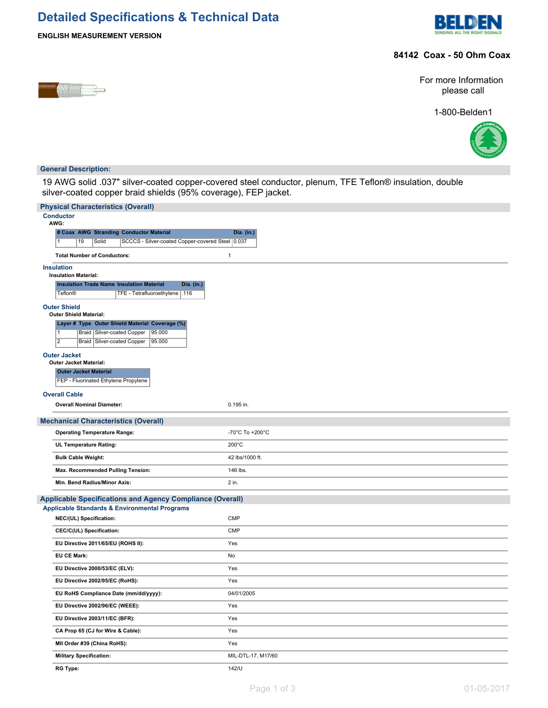# **Detailed Specifications & Technical Data**



### **84142 Coax - 50 Ohm Coax**

**ENGLISH MEASUREMENT VERSION**

For more Information please call

1-800-Belden1



#### **General Description:**

19 AWG solid .037" silver-coated copper-covered steel conductor, plenum, TFE Teflon® insulation, double silver-coated copper braid shields (95% coverage), FEP jacket.

| <b>Physical Characteristics (Overall)</b>                                                            |                    |
|------------------------------------------------------------------------------------------------------|--------------------|
| <b>Conductor</b><br>AWG:                                                                             |                    |
| # Coax AWG Stranding Conductor Material                                                              | Dia. (in.)         |
| SCCCS - Silver-coated Copper-covered Steel 0.037<br>19<br>Solid<br>11.                               |                    |
| <b>Total Number of Conductors:</b>                                                                   | $\mathbf{1}$       |
| <b>Insulation</b>                                                                                    |                    |
| <b>Insulation Material:</b><br><b>Insulation Trade Name Insulation Material</b><br>Dia. (in.)        |                    |
| <b>Teflon®</b><br>TFE - Tetrafluoroethylene   .116                                                   |                    |
| <b>Outer Shield</b><br><b>Outer Shield Material:</b>                                                 |                    |
| Layer # Type Outer Shield Material Coverage (%)                                                      |                    |
| Braid Silver-coated Copper<br>95.000<br>11<br>$\overline{2}$<br>Braid Silver-coated Copper<br>95.000 |                    |
| <b>Outer Jacket</b>                                                                                  |                    |
| <b>Outer Jacket Material:</b><br><b>Outer Jacket Material</b>                                        |                    |
| FEP - Fluorinated Ethylene Propylene                                                                 |                    |
| <b>Overall Cable</b>                                                                                 |                    |
| <b>Overall Nominal Diameter:</b>                                                                     | 0.195 in.          |
|                                                                                                      |                    |
| <b>Mechanical Characteristics (Overall)</b>                                                          |                    |
| <b>Operating Temperature Range:</b>                                                                  | -70°C To +200°C    |
| <b>UL Temperature Rating:</b>                                                                        | $200^{\circ}$ C    |
| <b>Bulk Cable Weight:</b>                                                                            | 42 lbs/1000 ft.    |
| Max. Recommended Pulling Tension:                                                                    | 146 lbs.           |
| Min. Bend Radius/Minor Axis:                                                                         | 2 in.              |
| <b>Applicable Specifications and Agency Compliance (Overall)</b>                                     |                    |
| <b>Applicable Standards &amp; Environmental Programs</b>                                             |                    |
| NEC/(UL) Specification:                                                                              | <b>CMP</b>         |
| CEC/C(UL) Specification:                                                                             | <b>CMP</b>         |
| EU Directive 2011/65/EU (ROHS II):                                                                   | Yes                |
| <b>EU CE Mark:</b>                                                                                   | No                 |
| EU Directive 2000/53/EC (ELV):                                                                       | Yes                |
| EU Directive 2002/95/EC (RoHS):                                                                      | Yes                |
| EU RoHS Compliance Date (mm/dd/yyyy):                                                                | 04/01/2005         |
| EU Directive 2002/96/EC (WEEE):                                                                      | Yes                |
| EU Directive 2003/11/EC (BFR):                                                                       | Yes                |
| CA Prop 65 (CJ for Wire & Cable):                                                                    | Yes                |
| MII Order #39 (China RoHS):                                                                          | Yes                |
| <b>Military Specification:</b>                                                                       | MIL-DTL-17, M17/60 |
| <b>RG Type:</b>                                                                                      | 142/U              |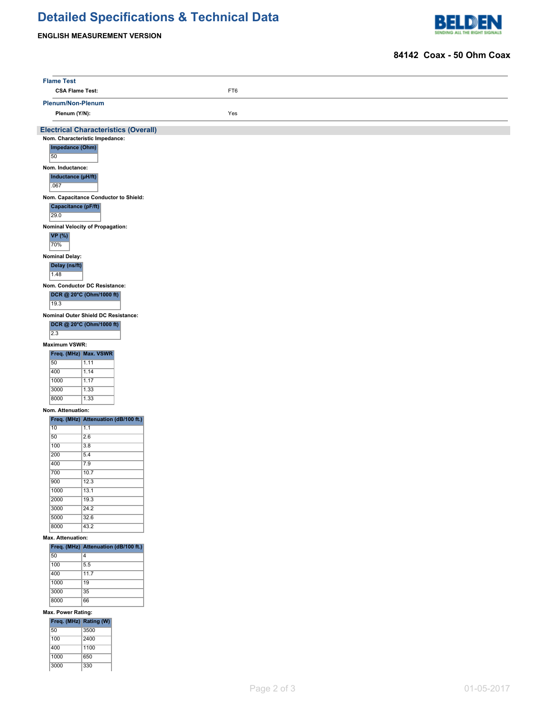# **Detailed Specifications & Technical Data**

### **ENGLISH MEASUREMENT VERSION**

3000 330



#### **84142 Coax - 50 Ohm Coax**

|                  | <b>Flame Test</b>                      |                                                                               |  |     |  |  |  |
|------------------|----------------------------------------|-------------------------------------------------------------------------------|--|-----|--|--|--|
|                  | <b>CSA Flame Test:</b>                 |                                                                               |  | FT6 |  |  |  |
|                  | Plenum/Non-Plenum                      |                                                                               |  |     |  |  |  |
|                  | Plenum (Y/N):                          |                                                                               |  | Yes |  |  |  |
|                  |                                        | <b>Electrical Characteristics (Overall)</b><br>Nom. Characteristic Impedance: |  |     |  |  |  |
| 50               | Impedance (Ohm)                        |                                                                               |  |     |  |  |  |
|                  | Nom. Inductance:                       |                                                                               |  |     |  |  |  |
| .067             | Inductance (µH/ft)                     |                                                                               |  |     |  |  |  |
| 29.0             | <b>Capacitance (pF/ft)</b>             | Nom. Capacitance Conductor to Shield:                                         |  |     |  |  |  |
|                  |                                        |                                                                               |  |     |  |  |  |
| 70%              | VP(%)                                  | Nominal Velocity of Propagation:                                              |  |     |  |  |  |
| 1.48             | <b>Nominal Delay:</b><br>Delay (ns/ft) |                                                                               |  |     |  |  |  |
| 19.3             |                                        | Nom. Conductor DC Resistance:<br>DCR @ 20°C (Ohm/1000 ft)                     |  |     |  |  |  |
|                  |                                        | Nominal Outer Shield DC Resistance:                                           |  |     |  |  |  |
|                  |                                        | DCR @ 20°C (Ohm/1000 ft)                                                      |  |     |  |  |  |
| $\overline{2.3}$ |                                        |                                                                               |  |     |  |  |  |
|                  | <b>Maximum VSWR:</b>                   |                                                                               |  |     |  |  |  |
|                  |                                        | Freq. (MHz) Max. VSWR                                                         |  |     |  |  |  |
| 50<br>400        |                                        | 1.11<br>1.14                                                                  |  |     |  |  |  |
| 1000             |                                        | 1.17                                                                          |  |     |  |  |  |
| 3000             |                                        | 1.33                                                                          |  |     |  |  |  |
| 8000             |                                        | 1.33                                                                          |  |     |  |  |  |
|                  | Nom. Attenuation:                      |                                                                               |  |     |  |  |  |
|                  |                                        | Freq. (MHz) Attenuation (dB/100 ft.)                                          |  |     |  |  |  |
| 10               |                                        | 1.1                                                                           |  |     |  |  |  |
| 50<br>100        |                                        | 2.6<br>3.8                                                                    |  |     |  |  |  |
| 200              |                                        | 5.4                                                                           |  |     |  |  |  |
| 400              |                                        | 7.9                                                                           |  |     |  |  |  |
| 700              |                                        | $\overline{10.7}$                                                             |  |     |  |  |  |
| 900              |                                        | 12.3                                                                          |  |     |  |  |  |
| 1000<br>2000     |                                        | 13.1<br>19.3                                                                  |  |     |  |  |  |
| 3000             |                                        | 24.2                                                                          |  |     |  |  |  |
| 5000             |                                        | 32.6                                                                          |  |     |  |  |  |
| 8000             |                                        | 43.2                                                                          |  |     |  |  |  |
|                  | Max. Attenuation:                      |                                                                               |  |     |  |  |  |
|                  |                                        | Freq. (MHz) Attenuation (dB/100 ft.)                                          |  |     |  |  |  |
| 50<br>100        |                                        | $\overline{4}$<br>5.5                                                         |  |     |  |  |  |
| 400              |                                        | 11.7                                                                          |  |     |  |  |  |
| 1000             |                                        | 19                                                                            |  |     |  |  |  |
| 3000             |                                        | 35                                                                            |  |     |  |  |  |
| 8000             |                                        | 66                                                                            |  |     |  |  |  |
|                  | Max. Power Rating:                     |                                                                               |  |     |  |  |  |
|                  |                                        | Freq. (MHz) Rating (W)                                                        |  |     |  |  |  |
| 50<br>100        |                                        | 3500<br>2400                                                                  |  |     |  |  |  |
| 400              |                                        | 1100                                                                          |  |     |  |  |  |
| 1000             |                                        | 650                                                                           |  |     |  |  |  |